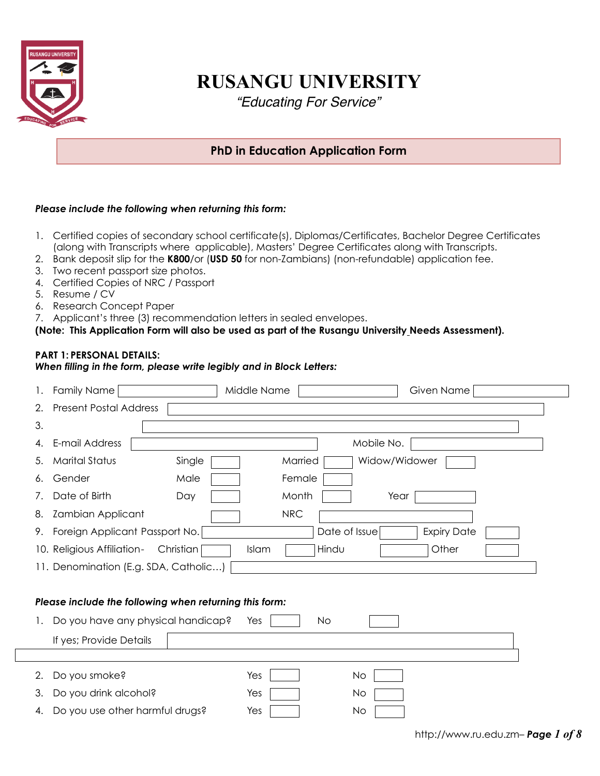

# **RUSANGU UNIVERSITY**

*"Educating For Service"*

# **PhD in Education Application Form**

## *Please include the following when returning this form:*

- 1. Certified copies of secondary school certificate(s), Diplomas/Certificates, Bachelor Degree Certificates (along with Transcripts where applicable), Masters' Degree Certificates along with Transcripts.
- 2. Bank deposit slip for the **K800**/or (**USD 50** for non-Zambians) (non-refundable) application fee.
- 3. Two recent passport size photos.
- 4. Certified Copies of NRC / Passport
- 5. Resume / CV
- 6. Research Concept Paper
- 7. Applicant's three (3) recommendation letters in sealed envelopes.

## **(Note: This Application Form will also be used as part of the Rusangu University Needs Assessment).**

## **PART 1: PERSONAL DETAILS:**

## *When filling in the form, please write legibly and in Block Letters:*

| 1. | Family Name                                            | Middle Name              | Given Name         |  |  |
|----|--------------------------------------------------------|--------------------------|--------------------|--|--|
| 2. | <b>Present Postal Address</b>                          |                          |                    |  |  |
| 3. |                                                        |                          |                    |  |  |
| 4. | E-mail Address                                         | Mobile No.               |                    |  |  |
| 5. | <b>Marital Status</b><br>Single                        | Widow/Widower<br>Married |                    |  |  |
| 6. | Gender<br>Male                                         | Female                   |                    |  |  |
| 7. | Date of Birth<br>Day                                   | Month<br>Year            |                    |  |  |
| 8. | <b>Zambian Applicant</b>                               | <b>NRC</b>               |                    |  |  |
| 9. | Foreign Applicant Passport No.                         | Date of Issue            | <b>Expiry Date</b> |  |  |
|    | 10. Religious Affiliation-<br>Christian                | Hindu<br><b>Islam</b>    | Other              |  |  |
|    | 11. Denomination (E.g. SDA, Catholic)                  |                          |                    |  |  |
|    |                                                        |                          |                    |  |  |
|    | Please include the following when returning this form: |                          |                    |  |  |
| 1. | Do you have any physical handicap?                     | No<br>Yes                |                    |  |  |
|    | If yes; Provide Details                                |                          |                    |  |  |
|    |                                                        |                          |                    |  |  |
| 2. | Do you smoke?                                          | <b>No</b><br>Yes         |                    |  |  |
| 3. | Do you drink alcohol?                                  | Yes<br>No                |                    |  |  |
| 4. | Do you use other harmful drugs?                        | Yes<br>No                |                    |  |  |
|    |                                                        |                          |                    |  |  |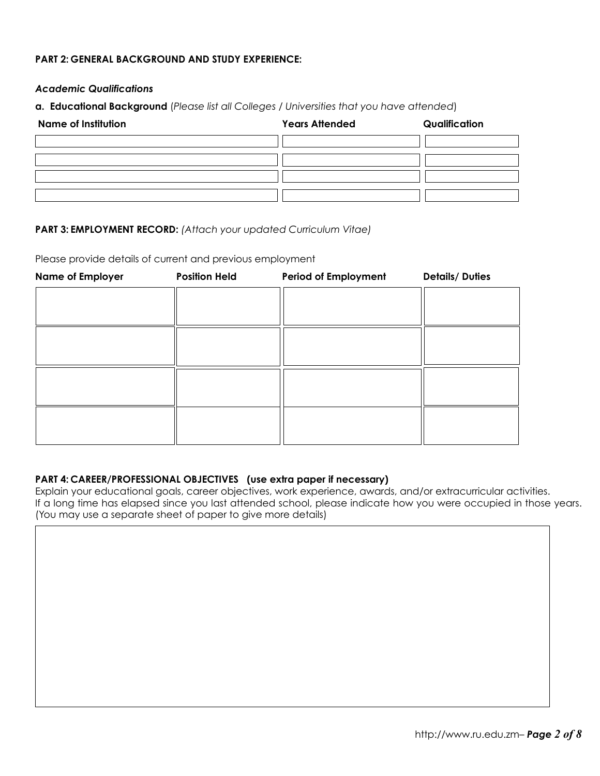## **PART 2: GENERAL BACKGROUND AND STUDY EXPERIENCE:**

## *Academic Qualifications*

**a. Educational Background** (*Please list all Colleges / Universities that you have attended*)

| <b>Name of Institution</b> | <b>Years Attended</b> | Qualification |
|----------------------------|-----------------------|---------------|
|                            |                       |               |
|                            |                       |               |
|                            |                       |               |
|                            |                       |               |

## **PART 3: EMPLOYMENT RECORD:** *(Attach your updated Curriculum Vitae)*

Please provide details of current and previous employment

| <b>Name of Employer</b> | <b>Position Held</b> | <b>Period of Employment</b> | <b>Details/Duties</b> |
|-------------------------|----------------------|-----------------------------|-----------------------|
|                         |                      |                             |                       |
|                         |                      |                             |                       |
|                         |                      |                             |                       |
|                         |                      |                             |                       |
|                         |                      |                             |                       |
|                         |                      |                             |                       |
|                         |                      |                             |                       |
|                         |                      |                             |                       |
|                         |                      |                             |                       |
|                         |                      |                             |                       |

## **PART 4: CAREER/PROFESSIONAL OBJECTIVES (use extra paper if necessary)**

Explain your educational goals, career objectives, work experience, awards, and/or extracurricular activities. If a long time has elapsed since you last attended school, please indicate how you were occupied in those years. (You may use a separate sheet of paper to give more details)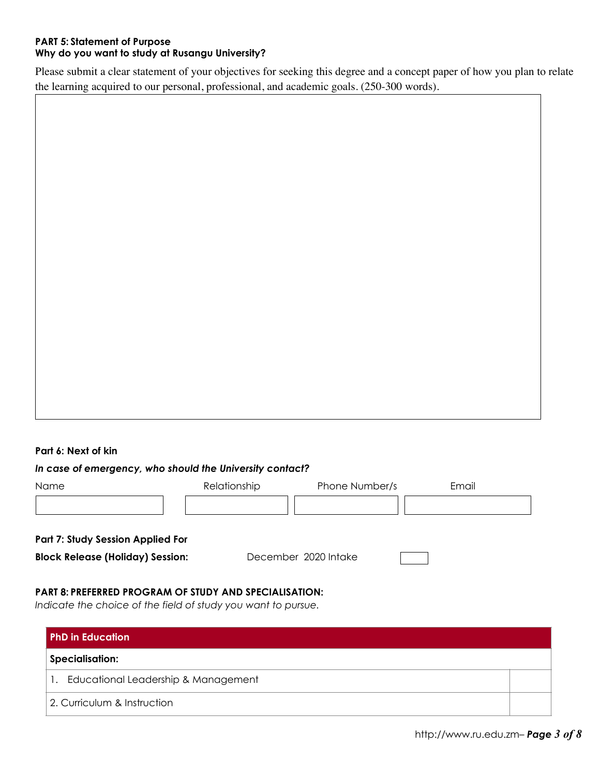## **PART 5: Statement of Purpose Why do you want to study at Rusangu University?**

Please submit a clear statement of your objectives for seeking this degree and a concept paper of how you plan to relate the learning acquired to our personal, professional, and academic goals. (250-300 words).

## **Part 6: Next of kin**

## *In case of emergency, who should the University contact?*

| Name                                     | Relationship | Phone Number/s       | Email |
|------------------------------------------|--------------|----------------------|-------|
|                                          |              |                      |       |
| <b>Part 7: Study Session Applied For</b> |              |                      |       |
| <b>Block Release (Holiday) Session:</b>  |              | December 2020 Intake |       |

## **PART 8: PREFERRED PROGRAM OF STUDY AND SPECIALISATION:**

*Indicate the choice of the field of study you want to pursue.* 

| <b>PhD in Education</b>             |  |  |
|-------------------------------------|--|--|
| <b>Specialisation:</b>              |  |  |
| Educational Leadership & Management |  |  |
| 2. Curriculum & Instruction         |  |  |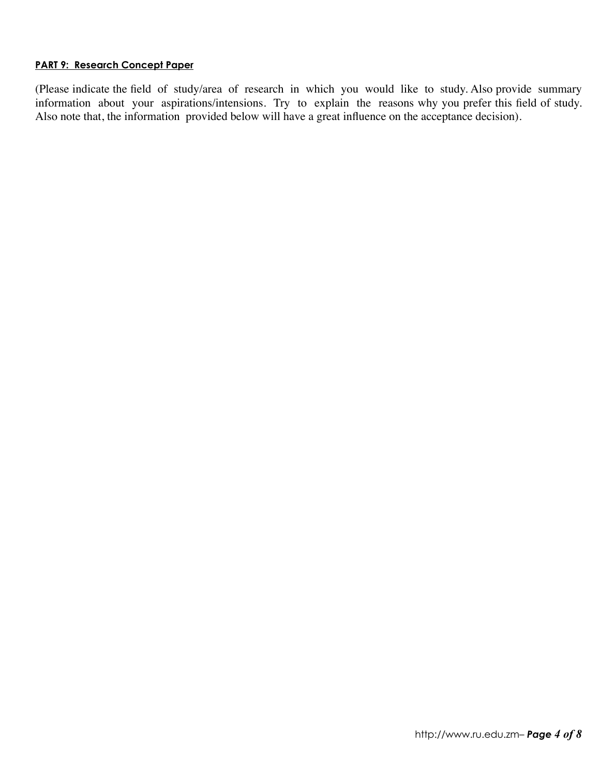## **PART 9: Research Concept Paper**

(Please indicate the field of study/area of research in which you would like to study. Also provide summary information about your aspirations/intensions. Try to explain the reasons why you prefer this field of study. Also note that, the information provided below will have a great influence on the acceptance decision).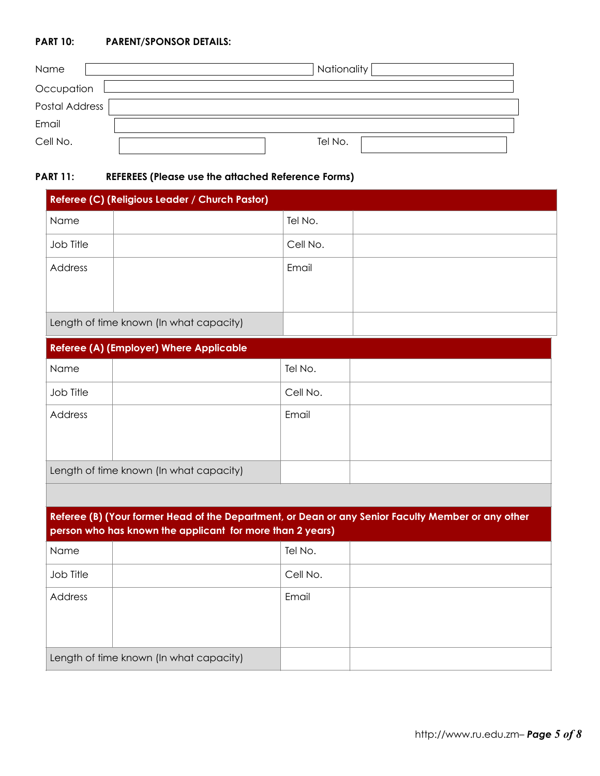## **PART 10: PARENT/SPONSOR DETAILS:**

| Name                  |  | Nationality |  |  |  |
|-----------------------|--|-------------|--|--|--|
| Occupation            |  |             |  |  |  |
| <b>Postal Address</b> |  |             |  |  |  |
| Email                 |  |             |  |  |  |
| Cell No.              |  | Tel No.     |  |  |  |

## **PART 11: REFEREES (Please use the attached Reference Forms)**

| Referee (C) (Religious Leader / Church Pastor) |                                         |          |  |  |
|------------------------------------------------|-----------------------------------------|----------|--|--|
| Name                                           |                                         | Tel No.  |  |  |
| Job Title                                      |                                         | Cell No. |  |  |
| Address                                        |                                         | Email    |  |  |
|                                                |                                         |          |  |  |
|                                                | Length of time known (In what capacity) |          |  |  |
| <b>Referee (A) (Employer) Where Applicable</b> |                                         |          |  |  |
| <b>Name</b>                                    |                                         | Tel No.  |  |  |
| Job Title                                      |                                         | Cell No. |  |  |
| Address                                        |                                         | Email    |  |  |

| Length of time known (In what capacity) |  |
|-----------------------------------------|--|

| Referee (B) (Your former Head of the Department, or Dean or any Senior Faculty Member or any other<br>person who has known the applicant for more than 2 years) |                                         |          |  |  |  |
|-----------------------------------------------------------------------------------------------------------------------------------------------------------------|-----------------------------------------|----------|--|--|--|
| Name                                                                                                                                                            |                                         | Tel No.  |  |  |  |
| Job Title                                                                                                                                                       |                                         | Cell No. |  |  |  |
| Address                                                                                                                                                         |                                         | Email    |  |  |  |
|                                                                                                                                                                 | Length of time known (In what capacity) |          |  |  |  |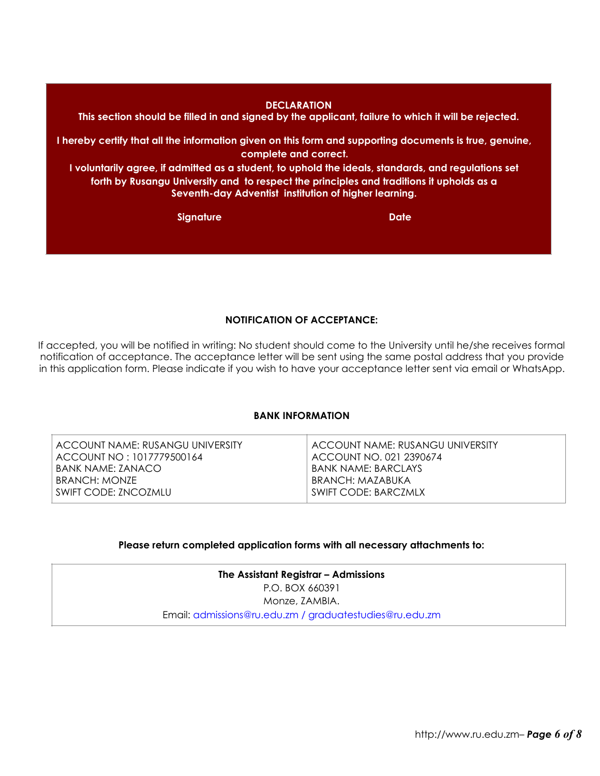#### **DECLARATION**

**This section should be filled in and signed by the applicant, failure to which it will be rejected.** 

**I hereby certify that all the information given on this form and supporting documents is true, genuine, complete and correct.** 

**I voluntarily agree, if admitted as a student, to uphold the ideals, standards, and regulations set forth by Rusangu University and to respect the principles and traditions it upholds as a Seventh-day Adventist institution of higher learning.** 

**Signature Date Date Account of the United States and Date Date** 

**NOTIFICATION OF ACCEPTANCE:** 

If accepted, you will be notified in writing: No student should come to the University until he/she receives formal notification of acceptance. The acceptance letter will be sent using the same postal address that you provide in this application form. Please indicate if you wish to have your acceptance letter sent via email or WhatsApp.

## **BANK INFORMATION**

## **Please return completed application forms with all necessary attachments to:**

**The Assistant Registrar – Admissions**  P.O. BOX 660391 Monze, ZAMBIA. Email: [admissions@ru.edu.zm](mailto:admissions@ru.edu.zm) / graduatestudies@ru.edu.zm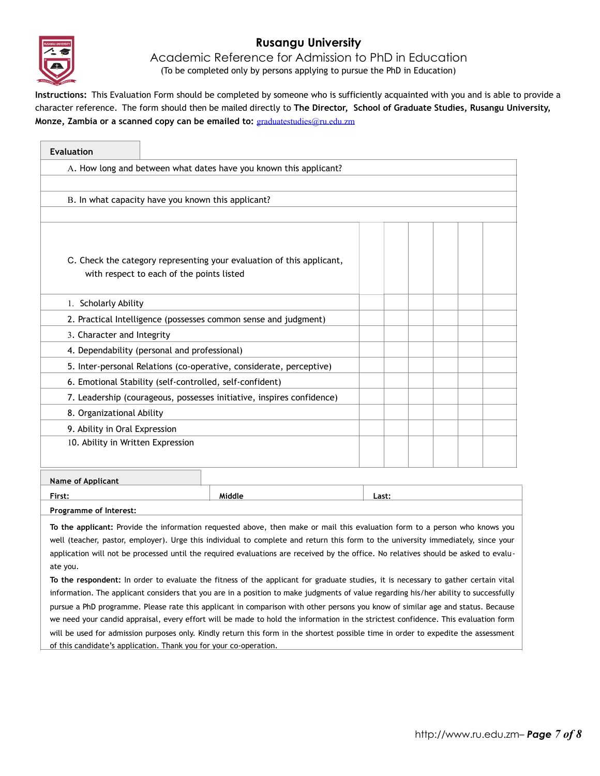

# **Rusangu University**

Academic Reference for Admission to PhD in Education (To be completed only by persons applying to pursue the PhD in Education)

**Instructions:** This Evaluation Form should be completed by someone who is sufficiently acquainted with you and is able to provide a character reference. The form should then be mailed directly to **The Director, School of Graduate Studies, Rusangu University, Monze, Zambia or a scanned copy can be emailed to:** [graduatestudies@ru.edu.zm](mailto:graduatestudies@ru.edu.zm)

| <b>Evaluation</b>                                                 |                                                                                                                    |                                                                                                                                                                                                                                                                                                                                                                                                         |  |  |  |
|-------------------------------------------------------------------|--------------------------------------------------------------------------------------------------------------------|---------------------------------------------------------------------------------------------------------------------------------------------------------------------------------------------------------------------------------------------------------------------------------------------------------------------------------------------------------------------------------------------------------|--|--|--|
| A. How long and between what dates have you known this applicant? |                                                                                                                    |                                                                                                                                                                                                                                                                                                                                                                                                         |  |  |  |
|                                                                   |                                                                                                                    |                                                                                                                                                                                                                                                                                                                                                                                                         |  |  |  |
| B. In what capacity have you known this applicant?                |                                                                                                                    |                                                                                                                                                                                                                                                                                                                                                                                                         |  |  |  |
|                                                                   |                                                                                                                    |                                                                                                                                                                                                                                                                                                                                                                                                         |  |  |  |
|                                                                   |                                                                                                                    |                                                                                                                                                                                                                                                                                                                                                                                                         |  |  |  |
|                                                                   | C. Check the category representing your evaluation of this applicant,<br>with respect to each of the points listed |                                                                                                                                                                                                                                                                                                                                                                                                         |  |  |  |
| 1. Scholarly Ability                                              |                                                                                                                    |                                                                                                                                                                                                                                                                                                                                                                                                         |  |  |  |
|                                                                   |                                                                                                                    | 2. Practical Intelligence (possesses common sense and judgment)                                                                                                                                                                                                                                                                                                                                         |  |  |  |
| 3. Character and Integrity                                        |                                                                                                                    |                                                                                                                                                                                                                                                                                                                                                                                                         |  |  |  |
| 4. Dependability (personal and professional)                      |                                                                                                                    |                                                                                                                                                                                                                                                                                                                                                                                                         |  |  |  |
|                                                                   |                                                                                                                    | 5. Inter-personal Relations (co-operative, considerate, perceptive)                                                                                                                                                                                                                                                                                                                                     |  |  |  |
|                                                                   |                                                                                                                    | 6. Emotional Stability (self-controlled, self-confident)                                                                                                                                                                                                                                                                                                                                                |  |  |  |
|                                                                   |                                                                                                                    | 7. Leadership (courageous, possesses initiative, inspires confidence)                                                                                                                                                                                                                                                                                                                                   |  |  |  |
| 8. Organizational Ability                                         |                                                                                                                    |                                                                                                                                                                                                                                                                                                                                                                                                         |  |  |  |
| 9. Ability in Oral Expression                                     |                                                                                                                    |                                                                                                                                                                                                                                                                                                                                                                                                         |  |  |  |
|                                                                   | 10. Ability in Written Expression                                                                                  |                                                                                                                                                                                                                                                                                                                                                                                                         |  |  |  |
|                                                                   |                                                                                                                    |                                                                                                                                                                                                                                                                                                                                                                                                         |  |  |  |
| <b>Name of Applicant</b>                                          |                                                                                                                    |                                                                                                                                                                                                                                                                                                                                                                                                         |  |  |  |
| First:                                                            | Last:                                                                                                              |                                                                                                                                                                                                                                                                                                                                                                                                         |  |  |  |
| Programme of Interest:                                            |                                                                                                                    |                                                                                                                                                                                                                                                                                                                                                                                                         |  |  |  |
| ate you.                                                          |                                                                                                                    | To the applicant: Provide the information requested above, then make or mail this evaluation form to a person who knows you<br>well (teacher, pastor, employer). Urge this individual to complete and return this form to the university immediately, since your<br>application will not be processed until the required evaluations are received by the office. No relatives should be asked to evalu- |  |  |  |

**To the respondent:** In order to evaluate the fitness of the applicant for graduate studies, it is necessary to gather certain vital information. The applicant considers that you are in a position to make judgments of value regarding his/her ability to successfully pursue a PhD programme. Please rate this applicant in comparison with other persons you know of similar age and status. Because we need your candid appraisal, every effort will be made to hold the information in the strictest confidence. This evaluation form will be used for admission purposes only. Kindly return this form in the shortest possible time in order to expedite the assessment of this candidate's application. Thank you for your co-operation.